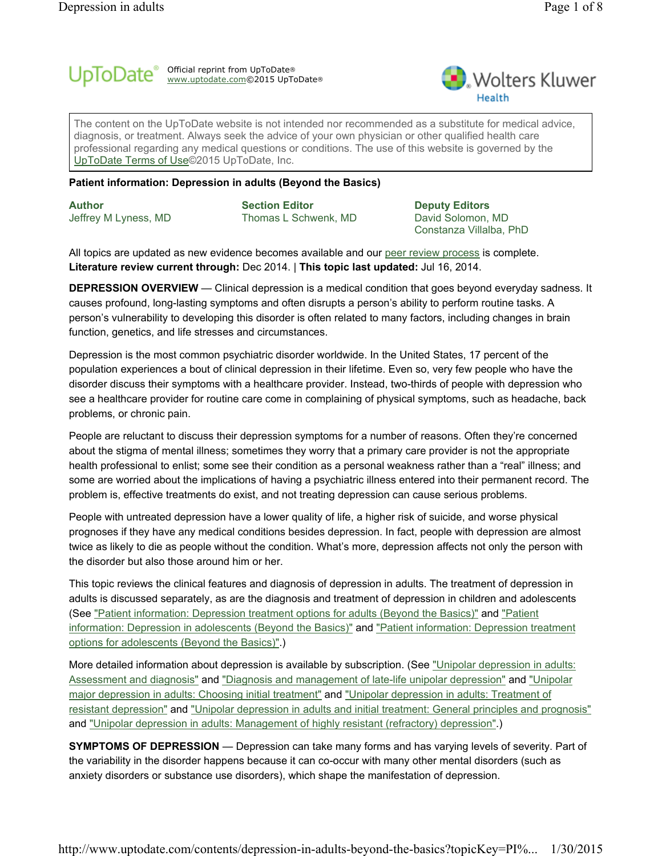#### Official reprint from UpToDate www.uptodate.com©2015 UpToDate ®



The content on the UpToDate website is not intended nor recommended as a substitute for medical advice, diagnosis, or treatment. Always seek the advice of your own physician or other qualified health care professional regarding any medical questions or conditions. The use of this website is governed by the UpToDate Terms of Use©2015 UpToDate, Inc.

®

### **Patient information: Depression in adults (Beyond the Basics)**

**Author** Jeffrey M Lyness, MD

**Section Editor** Thomas L Schwenk, MD

**Deputy Editors** David Solomon, MD Constanza Villalba, PhD

All topics are updated as new evidence becomes available and our peer review process is complete. **Literature review current through:** Dec 2014. | **This topic last updated:** Jul 16, 2014.

**DEPRESSION OVERVIEW** — Clinical depression is a medical condition that goes beyond everyday sadness. It causes profound, long-lasting symptoms and often disrupts a person's ability to perform routine tasks. A person's vulnerability to developing this disorder is often related to many factors, including changes in brain function, genetics, and life stresses and circumstances.

Depression is the most common psychiatric disorder worldwide. In the United States, 17 percent of the population experiences a bout of clinical depression in their lifetime. Even so, very few people who have the disorder discuss their symptoms with a healthcare provider. Instead, two-thirds of people with depression who see a healthcare provider for routine care come in complaining of physical symptoms, such as headache, back problems, or chronic pain.

People are reluctant to discuss their depression symptoms for a number of reasons. Often they're concerned about the stigma of mental illness; sometimes they worry that a primary care provider is not the appropriate health professional to enlist; some see their condition as a personal weakness rather than a "real" illness; and some are worried about the implications of having a psychiatric illness entered into their permanent record. The problem is, effective treatments do exist, and not treating depression can cause serious problems.

People with untreated depression have a lower quality of life, a higher risk of suicide, and worse physical prognoses if they have any medical conditions besides depression. In fact, people with depression are almost twice as likely to die as people without the condition. What's more, depression affects not only the person with the disorder but also those around him or her.

This topic reviews the clinical features and diagnosis of depression in adults. The treatment of depression in adults is discussed separately, as are the diagnosis and treatment of depression in children and adolescents (See "Patient information: Depression treatment options for adults (Beyond the Basics)" and "Patient information: Depression in adolescents (Beyond the Basics)" and "Patient information: Depression treatment options for adolescents (Beyond the Basics)".)

More detailed information about depression is available by subscription. (See "Unipolar depression in adults: Assessment and diagnosis" and "Diagnosis and management of late-life unipolar depression" and "Unipolar major depression in adults: Choosing initial treatment" and "Unipolar depression in adults: Treatment of resistant depression" and "Unipolar depression in adults and initial treatment: General principles and prognosis" and "Unipolar depression in adults: Management of highly resistant (refractory) depression".)

**SYMPTOMS OF DEPRESSION** — Depression can take many forms and has varying levels of severity. Part of the variability in the disorder happens because it can co-occur with many other mental disorders (such as anxiety disorders or substance use disorders), which shape the manifestation of depression.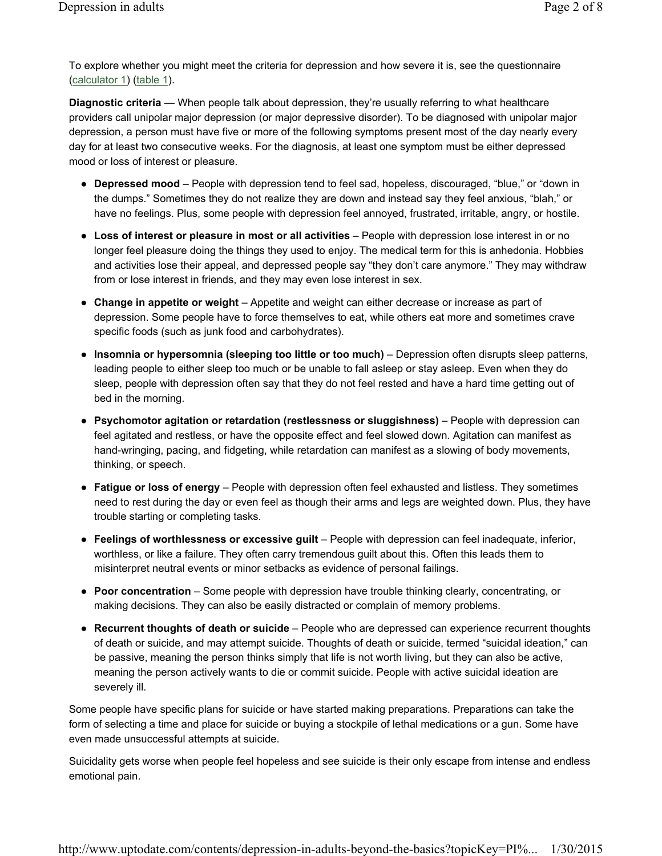To explore whether you might meet the criteria for depression and how severe it is, see the questionnaire (calculator 1) (table 1).

**Diagnostic criteria** — When people talk about depression, they're usually referring to what healthcare providers call unipolar major depression (or major depressive disorder). To be diagnosed with unipolar major depression, a person must have five or more of the following symptoms present most of the day nearly every day for at least two consecutive weeks. For the diagnosis, at least one symptom must be either depressed mood or loss of interest or pleasure.

- Depressed mood People with depression tend to feel sad, hopeless, discouraged, "blue," or "down in the dumps." Sometimes they do not realize they are down and instead say they feel anxious, "blah," or have no feelings. Plus, some people with depression feel annoyed, frustrated, irritable, angry, or hostile.
- **Loss of interest or pleasure in most or all activities** People with depression lose interest in or no longer feel pleasure doing the things they used to enjoy. The medical term for this is anhedonia. Hobbies and activities lose their appeal, and depressed people say "they don't care anymore." They may withdraw from or lose interest in friends, and they may even lose interest in sex.
- Change in appetite or weight Appetite and weight can either decrease or increase as part of depression. Some people have to force themselves to eat, while others eat more and sometimes crave specific foods (such as junk food and carbohydrates).
- Insomnia or hypersomnia (sleeping too little or too much) Depression often disrupts sleep patterns, leading people to either sleep too much or be unable to fall asleep or stay asleep. Even when they do sleep, people with depression often say that they do not feel rested and have a hard time getting out of bed in the morning.
- **Psychomotor agitation or retardation (restlessness or sluggishness)** People with depression can feel agitated and restless, or have the opposite effect and feel slowed down. Agitation can manifest as hand-wringing, pacing, and fidgeting, while retardation can manifest as a slowing of body movements, thinking, or speech.
- **Fatigue or loss of energy** People with depression often feel exhausted and listless. They sometimes need to rest during the day or even feel as though their arms and legs are weighted down. Plus, they have trouble starting or completing tasks.
- **Feelings of worthlessness or excessive guilt** People with depression can feel inadequate, inferior, worthless, or like a failure. They often carry tremendous guilt about this. Often this leads them to misinterpret neutral events or minor setbacks as evidence of personal failings.
- Poor concentration Some people with depression have trouble thinking clearly, concentrating, or making decisions. They can also be easily distracted or complain of memory problems.
- **Recurrent thoughts of death or suicide** People who are depressed can experience recurrent thoughts of death or suicide, and may attempt suicide. Thoughts of death or suicide, termed "suicidal ideation," can be passive, meaning the person thinks simply that life is not worth living, but they can also be active, meaning the person actively wants to die or commit suicide. People with active suicidal ideation are severely ill.

Some people have specific plans for suicide or have started making preparations. Preparations can take the form of selecting a time and place for suicide or buying a stockpile of lethal medications or a gun. Some have even made unsuccessful attempts at suicide.

Suicidality gets worse when people feel hopeless and see suicide is their only escape from intense and endless emotional pain.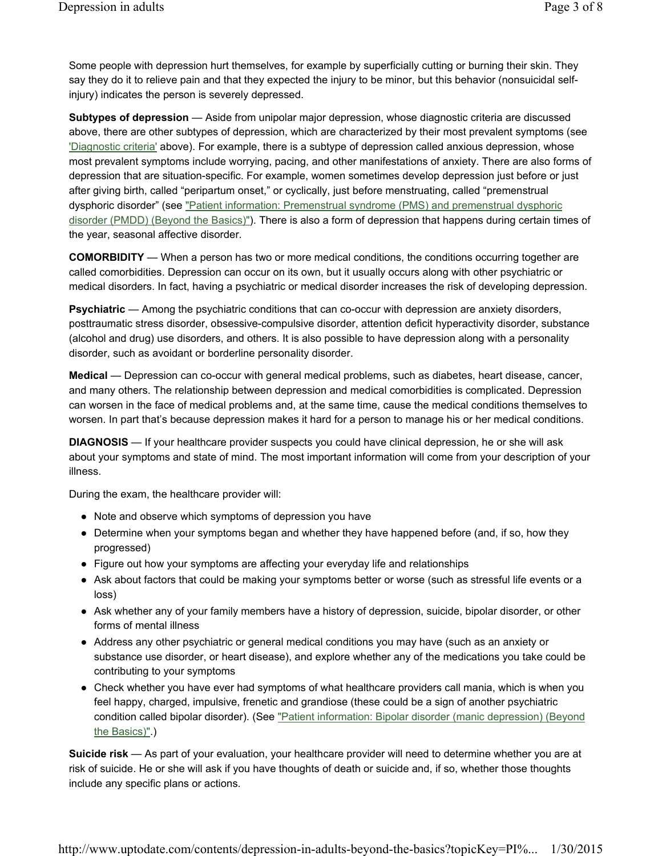Some people with depression hurt themselves, for example by superficially cutting or burning their skin. They say they do it to relieve pain and that they expected the injury to be minor, but this behavior (nonsuicidal selfinjury) indicates the person is severely depressed.

**Subtypes of depression** — Aside from unipolar major depression, whose diagnostic criteria are discussed above, there are other subtypes of depression, which are characterized by their most prevalent symptoms (see 'Diagnostic criteria' above). For example, there is a subtype of depression called anxious depression, whose most prevalent symptoms include worrying, pacing, and other manifestations of anxiety. There are also forms of depression that are situation-specific. For example, women sometimes develop depression just before or just after giving birth, called "peripartum onset," or cyclically, just before menstruating, called "premenstrual dysphoric disorder" (see "Patient information: Premenstrual syndrome (PMS) and premenstrual dysphoric disorder (PMDD) (Beyond the Basics)"). There is also a form of depression that happens during certain times of the year, seasonal affective disorder.

**COMORBIDITY** — When a person has two or more medical conditions, the conditions occurring together are called comorbidities. Depression can occur on its own, but it usually occurs along with other psychiatric or medical disorders. In fact, having a psychiatric or medical disorder increases the risk of developing depression.

**Psychiatric** — Among the psychiatric conditions that can co-occur with depression are anxiety disorders, posttraumatic stress disorder, obsessive-compulsive disorder, attention deficit hyperactivity disorder, substance (alcohol and drug) use disorders, and others. It is also possible to have depression along with a personality disorder, such as avoidant or borderline personality disorder.

**Medical** — Depression can co-occur with general medical problems, such as diabetes, heart disease, cancer, and many others. The relationship between depression and medical comorbidities is complicated. Depression can worsen in the face of medical problems and, at the same time, cause the medical conditions themselves to worsen. In part that's because depression makes it hard for a person to manage his or her medical conditions.

**DIAGNOSIS** — If your healthcare provider suspects you could have clinical depression, he or she will ask about your symptoms and state of mind. The most important information will come from your description of your illness.

During the exam, the healthcare provider will:

- Note and observe which symptoms of depression you have
- Determine when your symptoms began and whether they have happened before (and, if so, how they progressed)
- Figure out how your symptoms are affecting your everyday life and relationships
- Ask about factors that could be making your symptoms better or worse (such as stressful life events or a loss)
- Ask whether any of your family members have a history of depression, suicide, bipolar disorder, or other forms of mental illness
- Address any other psychiatric or general medical conditions you may have (such as an anxiety or substance use disorder, or heart disease), and explore whether any of the medications you take could be contributing to your symptoms
- Check whether you have ever had symptoms of what healthcare providers call mania, which is when you feel happy, charged, impulsive, frenetic and grandiose (these could be a sign of another psychiatric condition called bipolar disorder). (See "Patient information: Bipolar disorder (manic depression) (Beyond the Basics)".)

**Suicide risk** — As part of your evaluation, your healthcare provider will need to determine whether you are at risk of suicide. He or she will ask if you have thoughts of death or suicide and, if so, whether those thoughts include any specific plans or actions.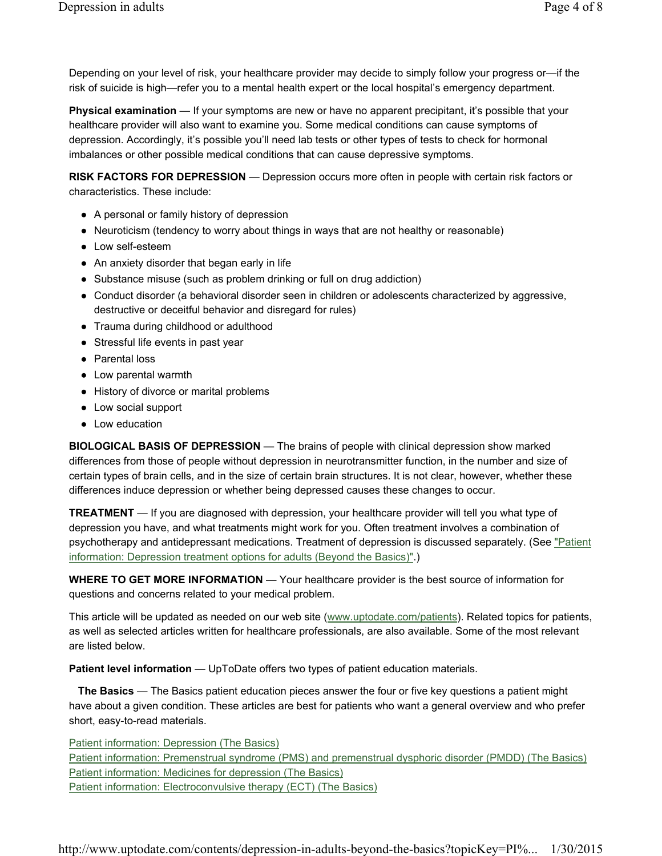Depending on your level of risk, your healthcare provider may decide to simply follow your progress or—if the risk of suicide is high—refer you to a mental health expert or the local hospital's emergency department.

**Physical examination** — If your symptoms are new or have no apparent precipitant, it's possible that your healthcare provider will also want to examine you. Some medical conditions can cause symptoms of depression. Accordingly, it's possible you'll need lab tests or other types of tests to check for hormonal imbalances or other possible medical conditions that can cause depressive symptoms.

**RISK FACTORS FOR DEPRESSION** — Depression occurs more often in people with certain risk factors or characteristics. These include:

- A personal or family history of depression
- Neuroticism (tendency to worry about things in ways that are not healthy or reasonable)
- Low self-esteem
- An anxiety disorder that began early in life
- Substance misuse (such as problem drinking or full on drug addiction)
- Conduct disorder (a behavioral disorder seen in children or adolescents characterized by aggressive, destructive or deceitful behavior and disregard for rules)
- Trauma during childhood or adulthood
- Stressful life events in past year
- Parental loss
- Low parental warmth
- History of divorce or marital problems
- Low social support
- Low education

**BIOLOGICAL BASIS OF DEPRESSION** — The brains of people with clinical depression show marked differences from those of people without depression in neurotransmitter function, in the number and size of certain types of brain cells, and in the size of certain brain structures. It is not clear, however, whether these differences induce depression or whether being depressed causes these changes to occur.

**TREATMENT** — If you are diagnosed with depression, your healthcare provider will tell you what type of depression you have, and what treatments might work for you. Often treatment involves a combination of psychotherapy and antidepressant medications. Treatment of depression is discussed separately. (See "Patient information: Depression treatment options for adults (Beyond the Basics)".)

**WHERE TO GET MORE INFORMATION** — Your healthcare provider is the best source of information for questions and concerns related to your medical problem.

This article will be updated as needed on our web site (www.uptodate.com/patients). Related topics for patients, as well as selected articles written for healthcare professionals, are also available. Some of the most relevant are listed below.

**Patient level information** — UpToDate offers two types of patient education materials.

**The Basics** — The Basics patient education pieces answer the four or five key questions a patient might have about a given condition. These articles are best for patients who want a general overview and who prefer short, easy-to-read materials.

Patient information: Depression (The Basics) Patient information: Premenstrual syndrome (PMS) and premenstrual dysphoric disorder (PMDD) (The Basics) Patient information: Medicines for depression (The Basics) Patient information: Electroconvulsive therapy (ECT) (The Basics)

http://www.uptodate.com/contents/depression-in-adults-beyond-the-basics?topicKey=PI%... 1/30/2015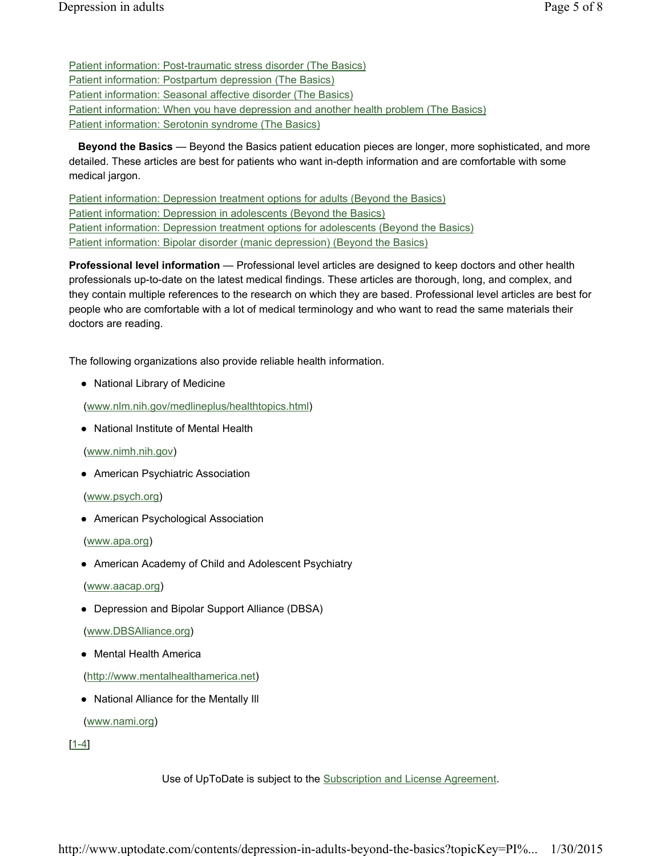Patient information: Post-traumatic stress disorder (The Basics) Patient information: Postpartum depression (The Basics) Patient information: Seasonal affective disorder (The Basics) Patient information: When you have depression and another health problem (The Basics) Patient information: Serotonin syndrome (The Basics)

**Beyond the Basics** — Beyond the Basics patient education pieces are longer, more sophisticated, and more detailed. These articles are best for patients who want in-depth information and are comfortable with some medical jargon.

Patient information: Depression treatment options for adults (Beyond the Basics) Patient information: Depression in adolescents (Beyond the Basics) Patient information: Depression treatment options for adolescents (Beyond the Basics) Patient information: Bipolar disorder (manic depression) (Beyond the Basics)

**Professional level information** — Professional level articles are designed to keep doctors and other health professionals up-to-date on the latest medical findings. These articles are thorough, long, and complex, and they contain multiple references to the research on which they are based. Professional level articles are best for people who are comfortable with a lot of medical terminology and who want to read the same materials their doctors are reading.

The following organizations also provide reliable health information.

● National Library of Medicine

(www.nlm.nih.gov/medlineplus/healthtopics.html)

● National Institute of Mental Health

(www.nimh.nih.gov)

● American Psychiatric Association

(www.psych.org)

● American Psychological Association

(www.apa.org)

● American Academy of Child and Adolescent Psychiatry

(www.aacap.org)

● Depression and Bipolar Support Alliance (DBSA)

(www.DBSAlliance.org)

● Mental Health America

(http://www.mentalhealthamerica.net)

● National Alliance for the Mentally Ill

(www.nami.org)

[1-4]

Use of UpToDate is subject to the Subscription and License Agreement.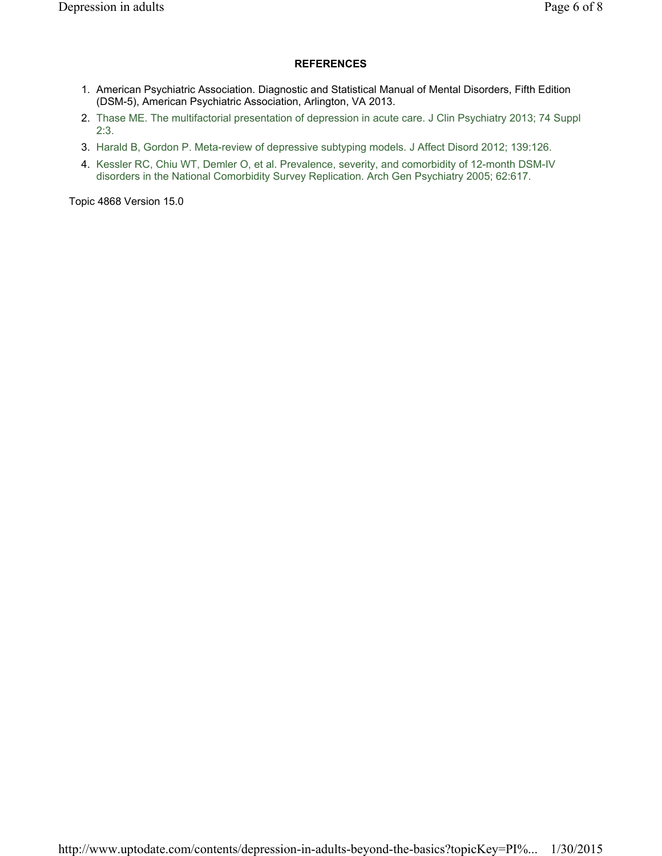### **REFERENCES**

- 1. American Psychiatric Association. Diagnostic and Statistical Manual of Mental Disorders, Fifth Edition (DSM-5), American Psychiatric Association, Arlington, VA 2013.
- 2. Thase ME. The multifactorial presentation of depression in acute care. J Clin Psychiatry 2013; 74 Suppl 2:3.
- 3. Harald B, Gordon P. Meta-review of depressive subtyping models. J Affect Disord 2012; 139:126.
- 4. Kessler RC, Chiu WT, Demler O, et al. Prevalence, severity, and comorbidity of 12-month DSM-IV disorders in the National Comorbidity Survey Replication. Arch Gen Psychiatry 2005; 62:617.

Topic 4868 Version 15.0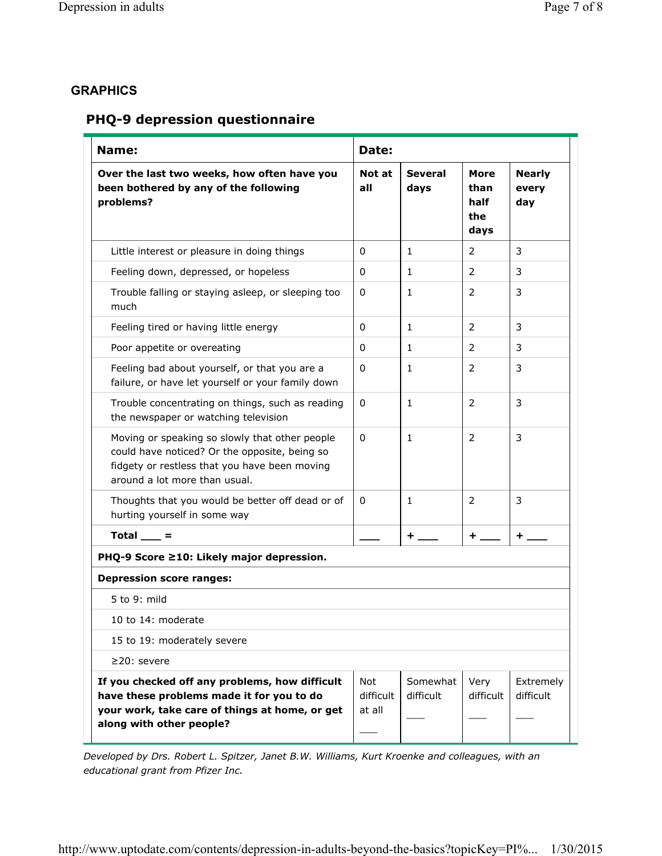## **GRAPHICS**

# **PHQ-9 depression questionnaire**

| Name:                                                                                                                                                                             | Date:                             |                        |                                     |                               |
|-----------------------------------------------------------------------------------------------------------------------------------------------------------------------------------|-----------------------------------|------------------------|-------------------------------------|-------------------------------|
| Over the last two weeks, how often have you<br>been bothered by any of the following<br>problems?                                                                                 | Not at<br>all                     | <b>Several</b><br>days | More<br>than<br>half<br>the<br>days | <b>Nearly</b><br>every<br>day |
| Little interest or pleasure in doing things                                                                                                                                       | 0                                 | $\mathbf{1}$           | $\overline{2}$                      | 3                             |
| Feeling down, depressed, or hopeless                                                                                                                                              | 0                                 | $\mathbf{1}$           | 2                                   | 3                             |
| Trouble falling or staying asleep, or sleeping too<br>much                                                                                                                        | 0                                 | 1                      | 2                                   | 3                             |
| Feeling tired or having little energy                                                                                                                                             | 0                                 | 1                      | 2                                   | 3                             |
| Poor appetite or overeating                                                                                                                                                       | 0                                 | 1                      | 2                                   | 3                             |
| Feeling bad about yourself, or that you are a<br>failure, or have let yourself or your family down                                                                                | 0                                 | 1                      | $\overline{2}$                      | 3                             |
| Trouble concentrating on things, such as reading<br>the newspaper or watching television                                                                                          | 0                                 | $\mathbf{1}$           | 2                                   | 3                             |
| Moving or speaking so slowly that other people<br>could have noticed? Or the opposite, being so<br>fidgety or restless that you have been moving<br>around a lot more than usual. | 0                                 | 1                      | 2                                   | 3                             |
| Thoughts that you would be better off dead or of<br>hurting yourself in some way                                                                                                  | 0                                 | $\mathbf{1}$           | $\overline{2}$                      | 3                             |
| Total $\_\_$ =                                                                                                                                                                    |                                   | $+$                    | $+$                                 | +                             |
| PHQ-9 Score ≥10: Likely major depression.                                                                                                                                         |                                   |                        |                                     |                               |
| <b>Depression score ranges:</b>                                                                                                                                                   |                                   |                        |                                     |                               |
| 5 to 9: mild                                                                                                                                                                      |                                   |                        |                                     |                               |
| 10 to 14: moderate                                                                                                                                                                |                                   |                        |                                     |                               |
| 15 to 19: moderately severe                                                                                                                                                       |                                   |                        |                                     |                               |
| $\geq$ 20: severe                                                                                                                                                                 |                                   |                        |                                     |                               |
| If you checked off any problems, how difficult<br>have these problems made it for you to do<br>your work, take care of things at home, or get<br>along with other people?         | <b>Not</b><br>difficult<br>at all | Somewhat<br>difficult  | Very<br>difficult                   | Extremely<br>difficult        |

*Developed by Drs. Robert L. Spitzer, Janet B.W. Williams, Kurt Kroenke and colleagues, with an educational grant from Pfizer Inc.*